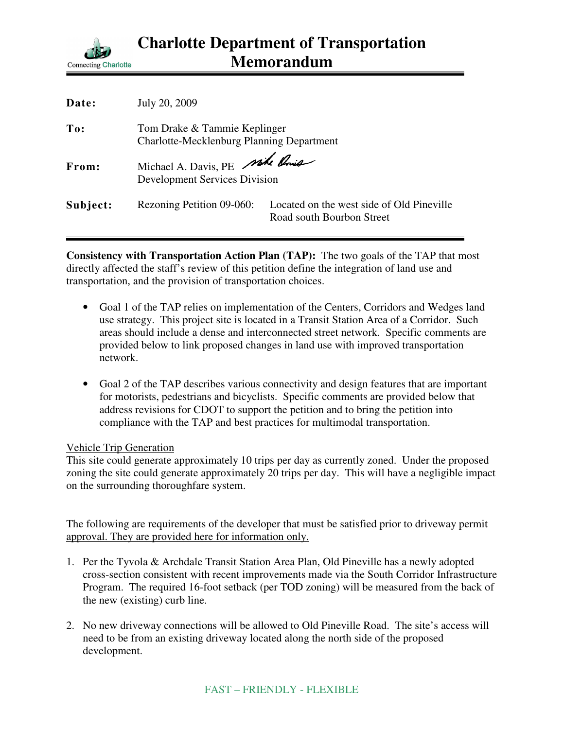

| Date:    | July 20, 2009                                                             |                                                                        |
|----------|---------------------------------------------------------------------------|------------------------------------------------------------------------|
| To:      | Tom Drake & Tammie Keplinger<br>Charlotte-Mecklenburg Planning Department |                                                                        |
| From:    | Michael A. Davis, PE side Unio<br><b>Development Services Division</b>    |                                                                        |
| Subject: | Rezoning Petition 09-060:                                                 | Located on the west side of Old Pineville<br>Road south Bourbon Street |

**Consistency with Transportation Action Plan (TAP):** The two goals of the TAP that most directly affected the staff's review of this petition define the integration of land use and transportation, and the provision of transportation choices.

- Goal 1 of the TAP relies on implementation of the Centers, Corridors and Wedges land use strategy. This project site is located in a Transit Station Area of a Corridor. Such areas should include a dense and interconnected street network. Specific comments are provided below to link proposed changes in land use with improved transportation network.
- Goal 2 of the TAP describes various connectivity and design features that are important for motorists, pedestrians and bicyclists. Specific comments are provided below that address revisions for CDOT to support the petition and to bring the petition into compliance with the TAP and best practices for multimodal transportation.

## Vehicle Trip Generation

This site could generate approximately 10 trips per day as currently zoned. Under the proposed zoning the site could generate approximately 20 trips per day. This will have a negligible impact on the surrounding thoroughfare system.

The following are requirements of the developer that must be satisfied prior to driveway permit approval. They are provided here for information only.

- 1. Per the Tyvola & Archdale Transit Station Area Plan, Old Pineville has a newly adopted cross-section consistent with recent improvements made via the South Corridor Infrastructure Program. The required 16-foot setback (per TOD zoning) will be measured from the back of the new (existing) curb line.
- 2. No new driveway connections will be allowed to Old Pineville Road. The site's access will need to be from an existing driveway located along the north side of the proposed development.